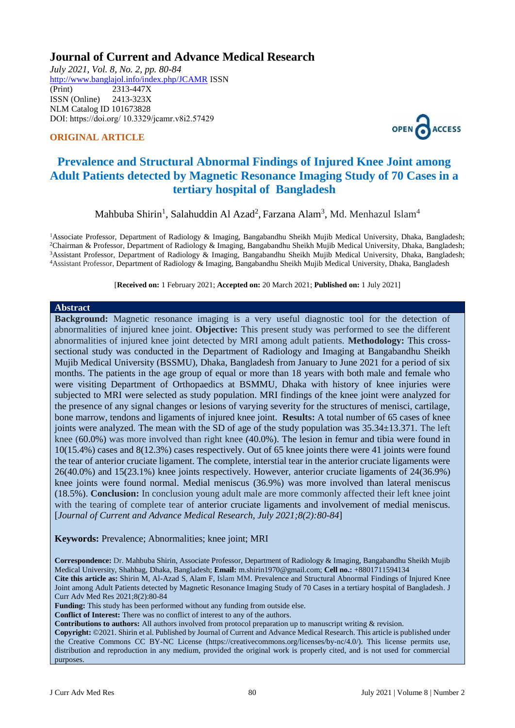## **Journal of Current and Advance Medical Research**

*July 2021, Vol. 8, No. 2, pp. 80-84* <http://www.banglajol.info/index.php/JCAMR>ISSN (Print) 2313-447X ISSN (Online) 2413-323X [NLM Catalog](https://www.ncbi.nlm.nih.gov/nlmcatalog/101673828) ID 101673828 DOI: https://doi.org/ 10.3329/jcamr.v8i2.57429

### **ORIGINAL ARTICLE**



# **Prevalence and Structural Abnormal Findings of Injured Knee Joint among Adult Patients detected by Magnetic Resonance Imaging Study of 70 Cases in a tertiary hospital of Bangladesh**

Mahbuba Shirin<sup>1</sup>, Salahuddin Al Azad<sup>2</sup>, Farzana Alam<sup>3</sup>, Md. Menhazul Islam<sup>4</sup>

<sup>1</sup>Associate Professor, Department of Radiology & Imaging, Bangabandhu Sheikh Mujib Medical University, Dhaka, Bangladesh; Chairman & Professor, Department of Radiology & Imaging, Bangabandhu Sheikh Mujib Medical University, Dhaka, Bangladesh; Assistant Professor, Department of Radiology & Imaging, Bangabandhu Sheikh Mujib Medical University, Dhaka, Bangladesh; Assistant Professor, Department of Radiology & Imaging, Bangabandhu Sheikh Mujib Medical University, Dhaka, Bangladesh

[**Received on:** 1 February 2021; **Accepted on:** 20 March 2021; **Published on:** 1 July 2021]

#### **Abstract**

**Background:** Magnetic resonance imaging is a very useful diagnostic tool for the detection of abnormalities of injured knee joint. **Objective:** This present study was performed to see the different abnormalities of injured knee joint detected by MRI among adult patients. **Methodology:** This crosssectional study was conducted in the Department of Radiology and Imaging at Bangabandhu Sheikh Mujib Medical University (BSSMU), Dhaka, Bangladesh from January to June 2021 for a period of six months. The patients in the age group of equal or more than 18 years with both male and female who were visiting Department of Orthopaedics at BSMMU, Dhaka with history of knee injuries were subjected to MRI were selected as study population. MRI findings of the knee joint were analyzed for the presence of any signal changes or lesions of varying severity for the structures of menisci, cartilage, bone marrow, tendons and ligaments of injured knee joint. **Results:** A total number of 65 cases of knee joints were analyzed. The mean with the SD of age of the study population was 35.34±13.371. The left knee (60.0%) was more involved than right knee (40.0%). The lesion in femur and tibia were found in 10(15.4%) cases and 8(12.3%) cases respectively. Out of 65 knee joints there were 41 joints were found the tear of anterior cruciate ligament. The complete, interstial tear in the anterior cruciate ligaments were 26(40.0%) and 15(23.1%) knee joints respectively. However, anterior cruciate ligaments of 24(36.9%) knee joints were found normal. Medial meniscus (36.9%) was more involved than lateral meniscus (18.5%). **Conclusion:** In conclusion young adult male are more commonly affected their left knee joint with the tearing of complete tear of anterior cruciate ligaments and involvement of medial meniscus. [*Journal of Current and Advance Medical Research, July 2021;8(2):80-84*]

**Keywords:** Prevalence; Abnormalities; knee joint; MRI

**Correspondence:** Dr. Mahbuba Shirin, Associate Professor, Department of Radiology & Imaging, Bangabandhu Sheikh Mujib Medical University, Shahbag, Dhaka, Bangladesh; **Email:** [m.shirin1970@gmail.com;](mailto:m.shirin1970@gmail.com) **Cell no.:** +8801711594134 **Cite this article as:** Shirin M, Al-Azad S, Alam F, Islam MM. Prevalence and Structural Abnormal Findings of Injured Knee Joint among Adult Patients detected by Magnetic Resonance Imaging Study of 70 Cases in a tertiary hospital of Bangladesh. J Curr Adv Med Res 2021;8(2):80-84

**Funding:** This study has been performed without any funding from outside else.

**Conflict of Interest:** There was no conflict of interest to any of the authors.

**Contributions to authors:** All authors involved from protocol preparation up to manuscript writing & revision.

**Copyright:** ©2021. Shirin et al. Published by Journal of Current and Advance Medical Research. This article is published under the Creative Commons CC BY-NC License (https://creativecommons.org/licenses/by-nc/4.0/). This license permits use, distribution and reproduction in any medium, provided the original work is properly cited, and is not used for commercial purposes.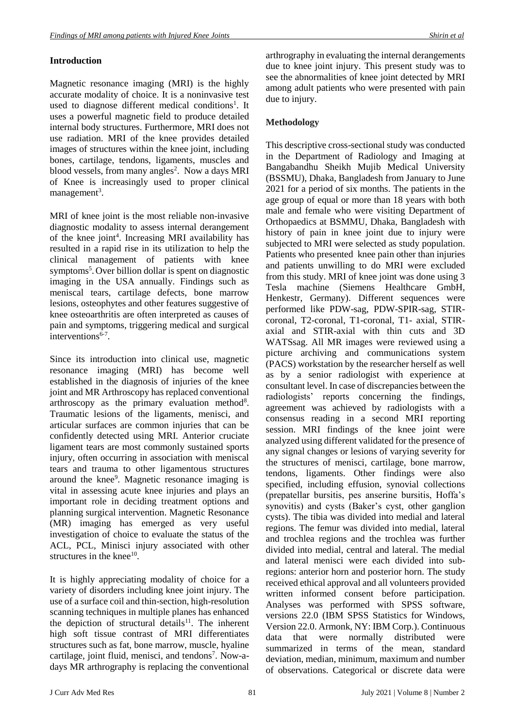## **Introduction**

Magnetic resonance imaging (MRI) is the highly accurate modality of choice. It is a noninvasive test used to diagnose different medical conditions<sup>1</sup>. It uses a powerful magnetic field to produce detailed internal body structures. Furthermore, MRI does not use radiation. MRI of the knee provides detailed images of structures within the knee joint, including bones, cartilage, tendons, ligaments, muscles and blood vessels, from many angles<sup>2</sup>. Now a days MRI of Knee is increasingly used to proper clinical management<sup>3</sup>.

MRI of knee joint is the most reliable non-invasive diagnostic modality to assess internal derangement of the knee joint<sup>4</sup>. Increasing MRI availability has resulted in a rapid rise in its utilization to help the clinical management of patients with knee symptoms<sup>5</sup>. Over billion dollar is spent on diagnostic imaging in the USA annually. Findings such as meniscal tears, cartilage defects, bone marrow lesions, osteophytes and other features suggestive of knee osteoarthritis are often interpreted as causes of pain and symptoms, triggering medical and surgical interventions<sup>6-7</sup>.

Since its introduction into clinical use, magnetic resonance imaging (MRI) has become well established in the diagnosis of injuries of the knee joint and MR Arthroscopy has replaced conventional arthroscopy as the primary evaluation method<sup>8</sup>. Traumatic lesions of the ligaments, menisci, and articular surfaces are common injuries that can be confidently detected using MRI. Anterior cruciate ligament tears are most commonly sustained sports injury, often occurring in association with meniscal tears and trauma to other ligamentous structures around the knee<sup>9</sup>. Magnetic resonance imaging is vital in assessing acute knee injuries and plays an important role in deciding treatment options and planning surgical intervention. Magnetic Resonance (MR) imaging has emerged as very useful investigation of choice to evaluate the status of the ACL, PCL, Minisci injury associated with other structures in the knee $10$ .

It is highly appreciating modality of choice for a variety of disorders including knee joint injury. The use of a surface coil and thin-section, high-resolution scanning techniques in multiple planes has enhanced the depiction of structural details<sup>11</sup>. The inherent high soft tissue contrast of MRI differentiates structures such as fat, bone marrow, muscle, hyaline cartilage, joint fluid, menisci, and tendons<sup>7</sup>. Now-adays MR arthrography is replacing the conventional arthrography in evaluating the internal derangements due to knee joint injury. This present study was to see the abnormalities of knee joint detected by MRI among adult patients who were presented with pain due to injury.

## **Methodology**

This descriptive cross-sectional study was conducted in the Department of Radiology and Imaging at Bangabandhu Sheikh Mujib Medical University (BSSMU), Dhaka, Bangladesh from January to June 2021 for a period of six months. The patients in the age group of equal or more than 18 years with both male and female who were visiting Department of Orthopaedics at BSMMU, Dhaka, Bangladesh with history of pain in knee joint due to injury were subjected to MRI were selected as study population. Patients who presented knee pain other than injuries and patients unwilling to do MRI were excluded from this study. MRI of knee joint was done using 3 Tesla machine (Siemens Healthcare GmbH, Henkestr, Germany). Different sequences were performed like PDW-sag, PDW-SPIR-sag, STIRcoronal, T2-coronal, T1-coronal, T1- axial, STIRaxial and STIR-axial with thin cuts and 3D WATSsag. All MR images were reviewed using a picture archiving and communications system (PACS) workstation by the researcher herself as well as by a senior radiologist with experience at consultant level. In case of discrepancies between the radiologists' reports concerning the findings, agreement was achieved by radiologists with a consensus reading in a second MRI reporting session. MRI findings of the knee joint were analyzed using different validated for the presence of any signal changes or lesions of varying severity for the structures of menisci, cartilage, bone marrow, tendons, ligaments. Other findings were also specified, including effusion, synovial collections (prepatellar bursitis, pes anserine bursitis, Hoffa's synovitis) and cysts (Baker's cyst, other ganglion cysts). The tibia was divided into medial and lateral regions. The femur was divided into medial, lateral and trochlea regions and the trochlea was further divided into medial, central and lateral. The medial and lateral menisci were each divided into subregions: anterior horn and posterior horn. The study received ethical approval and all volunteers provided written informed consent before participation. Analyses was performed with SPSS software, versions 22.0 (IBM SPSS Statistics for Windows, Version 22.0. Armonk, NY: IBM Corp.). Continuous data that were normally distributed were summarized in terms of the mean, standard deviation, median, minimum, maximum and number of observations. Categorical or discrete data were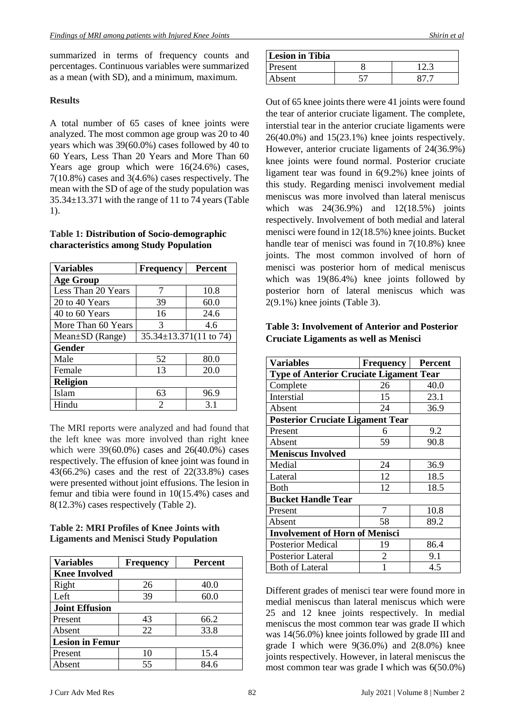summarized in terms of frequency counts and percentages. Continuous variables were summarized as a mean (with SD), and a minimum, maximum.

### **Results**

A total number of 65 cases of knee joints were analyzed. The most common age group was 20 to 40 years which was 39(60.0%) cases followed by 40 to 60 Years, Less Than 20 Years and More Than 60 Years age group which were 16(24.6%) cases, 7(10.8%) cases and 3(4.6%) cases respectively. The mean with the SD of age of the study population was 35.34±13.371 with the range of 11 to 74 years (Table 1).

#### **Table 1: Distribution of Socio-demographic characteristics among Study Population**

| <b>Variables</b>   | <b>Frequency</b>             | <b>Percent</b> |  |  |
|--------------------|------------------------------|----------------|--|--|
| <b>Age Group</b>   |                              |                |  |  |
| Less Than 20 Years | 7                            | 10.8           |  |  |
| 20 to 40 Years     | 39                           | 60.0           |  |  |
| 40 to 60 Years     | 16                           | 24.6           |  |  |
| More Than 60 Years | 3                            | 4.6            |  |  |
| Mean±SD (Range)    | $35.34 \pm 13.371(11$ to 74) |                |  |  |
| Gender             |                              |                |  |  |
| Male               | 52                           | 80.0           |  |  |
| Female             | 13                           | 20.0           |  |  |
| <b>Religion</b>    |                              |                |  |  |
| Islam              | 63                           | 96.9           |  |  |
| Hindu              | $\mathfrak{D}$               | 3.1            |  |  |

The MRI reports were analyzed and had found that the left knee was more involved than right knee which were 39(60.0%) cases and 26(40.0%) cases respectively. The effusion of knee joint was found in 43(66.2%) cases and the rest of 22(33.8%) cases were presented without joint effusions. The lesion in femur and tibia were found in 10(15.4%) cases and 8(12.3%) cases respectively (Table 2).

## **Table 2: MRI Profiles of Knee Joints with Ligaments and Menisci Study Population**

| <b>Variables</b>       | <b>Frequency</b> | <b>Percent</b> |  |  |
|------------------------|------------------|----------------|--|--|
| <b>Knee Involved</b>   |                  |                |  |  |
| Right                  | 26               | 40.0           |  |  |
| Left                   | 39               | 60.0           |  |  |
| <b>Joint Effusion</b>  |                  |                |  |  |
| Present                | 43               | 66.2           |  |  |
| Absent                 | 22               | 33.8           |  |  |
| <b>Lesion in Femur</b> |                  |                |  |  |
| Present                | 10               | 15.4           |  |  |
| Absent                 | 55               | 84.6           |  |  |

| <b>Lesion in Tibia</b> |  |  |  |  |
|------------------------|--|--|--|--|
| Present                |  |  |  |  |
| Absent                 |  |  |  |  |

Out of 65 knee joints there were 41 joints were found the tear of anterior cruciate ligament. The complete, interstial tear in the anterior cruciate ligaments were 26(40.0%) and 15(23.1%) knee joints respectively. However, anterior cruciate ligaments of 24(36.9%) knee joints were found normal. Posterior cruciate ligament tear was found in 6(9.2%) knee joints of this study. Regarding menisci involvement medial meniscus was more involved than lateral meniscus which was 24(36.9%) and 12(18.5%) joints respectively. Involvement of both medial and lateral menisci were found in 12(18.5%) knee joints. Bucket handle tear of menisci was found in 7(10.8%) knee joints. The most common involved of horn of menisci was posterior horn of medical meniscus which was 19(86.4%) knee joints followed by posterior horn of lateral meniscus which was 2(9.1%) knee joints (Table 3).

#### **Table 3: Involvement of Anterior and Posterior Cruciate Ligaments as well as Menisci**

| <b>Variables</b>                               | <b>Frequency</b> | Percent |  |  |
|------------------------------------------------|------------------|---------|--|--|
| <b>Type of Anterior Cruciate Ligament Tear</b> |                  |         |  |  |
| Complete                                       | 26               | 40.0    |  |  |
| Interstial                                     | 15               | 23.1    |  |  |
| Absent                                         | 24               | 36.9    |  |  |
| <b>Posterior Cruciate Ligament Tear</b>        |                  |         |  |  |
| Present                                        | 6                | 9.2     |  |  |
| Absent                                         | 59               | 90.8    |  |  |
| <b>Meniscus Involved</b>                       |                  |         |  |  |
| Medial                                         | 24               | 36.9    |  |  |
| Lateral                                        | 12               | 18.5    |  |  |
| <b>Both</b>                                    | 12               | 18.5    |  |  |
| <b>Bucket Handle Tear</b>                      |                  |         |  |  |
| Present                                        | 7                | 10.8    |  |  |
| Absent                                         | 58               | 89.2    |  |  |
| <b>Involvement of Horn of Menisci</b>          |                  |         |  |  |
| <b>Posterior Medical</b>                       | 19               | 86.4    |  |  |
| <b>Posterior Lateral</b>                       | 2                | 9.1     |  |  |
| <b>Both of Lateral</b>                         |                  | 4.5     |  |  |

Different grades of menisci tear were found more in medial meniscus than lateral meniscus which were 25 and 12 knee joints respectively. In medial meniscus the most common tear was grade II which was 14(56.0%) knee joints followed by grade III and grade I which were 9(36.0%) and 2(8.0%) knee joints respectively. However, in lateral meniscus the most common tear was grade I which was 6(50.0%)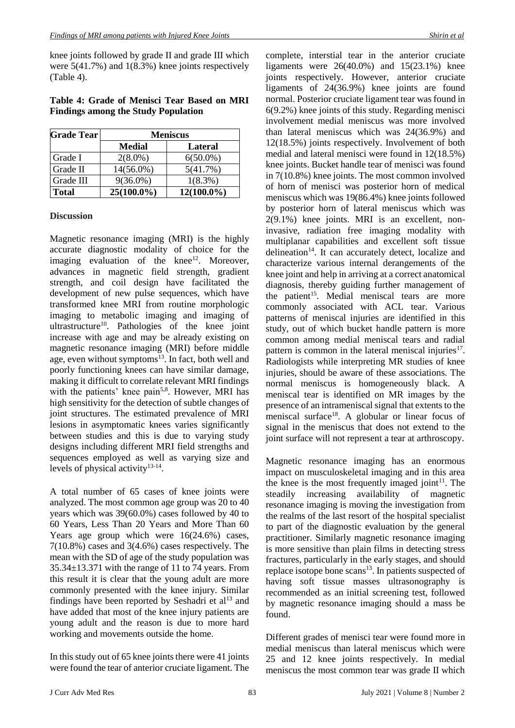knee joints followed by grade II and grade III which were 5(41.7%) and 1(8.3%) knee joints respectively (Table 4).

### **Table 4: Grade of Menisci Tear Based on MRI Findings among the Study Population**

| <b>Grade Tear</b> | <b>Meniscus</b> |                |
|-------------------|-----------------|----------------|
|                   | <b>Medial</b>   | <b>Lateral</b> |
| Grade I           | $2(8.0\%)$      | $6(50.0\%)$    |
| Grade II          | 14(56.0%)       | 5(41.7%)       |
| Grade III         | $9(36.0\%)$     | $1(8.3\%)$     |
| <b>Total</b>      | $25(100.0\%)$   | $12(100.0\%)$  |

#### **Discussion**

Magnetic resonance imaging (MRI) is the highly accurate diagnostic modality of choice for the imaging evaluation of the knee $12$ . Moreover, advances in magnetic field strength, gradient strength, and coil design have facilitated the development of new pulse sequences, which have transformed knee MRI from routine morphologic imaging to metabolic imaging and imaging of ultrastructure<sup>10</sup>. Pathologies of the knee joint increase with age and may be already existing on magnetic resonance imaging (MRI) before middle age, even without symptoms<sup>13</sup>. In fact, both well and poorly functioning knees can have similar damage, making it difficult to correlate relevant MRI findings with the patients' knee pain<sup>5,8</sup>. However, MRI has high sensitivity for the detection of subtle changes of joint structures. The estimated prevalence of MRI lesions in asymptomatic knees varies significantly between studies and this is due to varying study designs including different MRI field strengths and sequences employed as well as varying size and levels of physical activity $13-14$ .

A total number of 65 cases of knee joints were analyzed. The most common age group was 20 to 40 years which was 39(60.0%) cases followed by 40 to 60 Years, Less Than 20 Years and More Than 60 Years age group which were 16(24.6%) cases, 7(10.8%) cases and 3(4.6%) cases respectively. The mean with the SD of age of the study population was 35.34±13.371 with the range of 11 to 74 years. From this result it is clear that the young adult are more commonly presented with the knee injury. Similar findings have been reported by Seshadri et  $al<sup>13</sup>$  and have added that most of the knee injury patients are young adult and the reason is due to more hard working and movements outside the home.

In this study out of 65 knee joints there were 41 joints were found the tear of anterior cruciate ligament. The

complete, interstial tear in the anterior cruciate ligaments were 26(40.0%) and 15(23.1%) knee joints respectively. However, anterior cruciate ligaments of 24(36.9%) knee joints are found normal. Posterior cruciate ligament tear was found in 6(9.2%) knee joints of this study. Regarding menisci involvement medial meniscus was more involved than lateral meniscus which was 24(36.9%) and 12(18.5%) joints respectively. Involvement of both medial and lateral menisci were found in 12(18.5%) knee joints. Bucket handle tear of menisci was found in 7(10.8%) knee joints. The most common involved of horn of menisci was posterior horn of medical meniscus which was 19(86.4%) knee joints followed by posterior horn of lateral meniscus which was 2(9.1%) knee joints. MRI is an excellent, noninvasive, radiation free imaging modality with multiplanar capabilities and excellent soft tissue delineation<sup>14</sup>. It can accurately detect, localize and characterize various internal derangements of the knee joint and help in arriving at a correct anatomical diagnosis, thereby guiding further management of the patient<sup>15</sup>. Medial meniscal tears are more commonly associated with ACL tear. Various patterns of meniscal injuries are identified in this study, out of which bucket handle pattern is more common among medial meniscal tears and radial pattern is common in the lateral meniscal injuries<sup>17</sup>. Radiologists while interpreting MR studies of knee injuries, should be aware of these associations. The normal meniscus is homogeneously black. A meniscal tear is identified on MR images by the presence of an intrameniscal signal that extents to the meniscal surface<sup>18</sup>. A globular or linear focus of signal in the meniscus that does not extend to the joint surface will not represent a tear at arthroscopy.

Magnetic resonance imaging has an enormous impact on musculoskeletal imaging and in this area the knee is the most frequently imaged joint<sup>11</sup>. The steadily increasing availability of magnetic resonance imaging is moving the investigation from the realms of the last resort of the hospital specialist to part of the diagnostic evaluation by the general practitioner. Similarly magnetic resonance imaging is more sensitive than plain films in detecting stress fractures, particularly in the early stages, and should replace isotope bone scans $13$ . In patients suspected of having soft tissue masses ultrasonography is recommended as an initial screening test, followed by magnetic resonance imaging should a mass be found.

Different grades of menisci tear were found more in medial meniscus than lateral meniscus which were 25 and 12 knee joints respectively. In medial meniscus the most common tear was grade II which